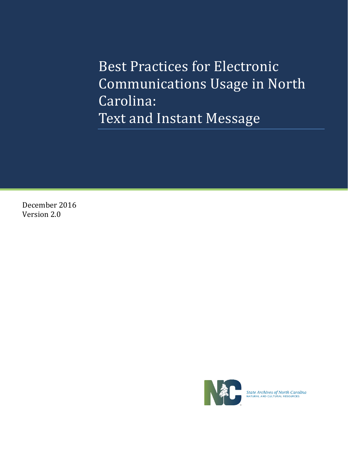Best Practices for Electronic Communications Usage in North Carolina: Text and Instant Message

December 2016 Version 2.0



**State Archives of North Carolina**<br>NATURAL AND CULTURAL RESOURCES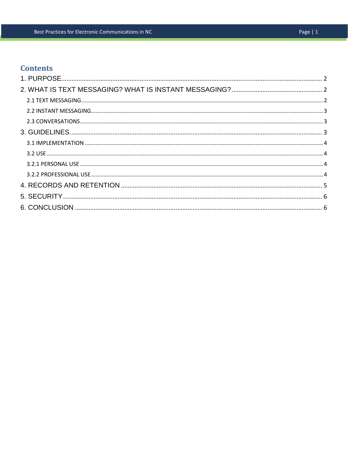# **Contents**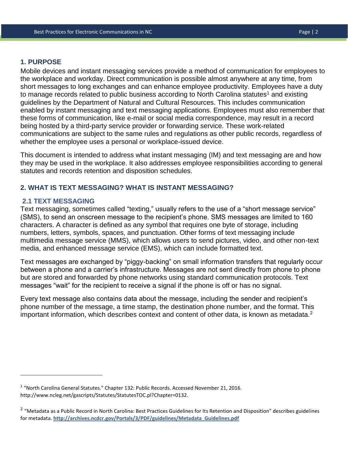#### <span id="page-2-0"></span>**1. PURPOSE**

Mobile devices and instant messaging services provide a method of communication for employees to the workplace and workday. Direct communication is possible almost anywhere at any time, from short messages to long exchanges and can enhance employee productivity. Employees have a duty to manage records related to public business according to North Carolina statutes<sup>1</sup> and existing guidelines by the Department of Natural and Cultural Resources. This includes communication enabled by instant messaging and text messaging applications. Employees must also remember that these forms of communication, like e-mail or social media correspondence, may result in a record being hosted by a third-party service provider or forwarding service. These work-related communications are subject to the same rules and regulations as other public records, regardless of whether the employee uses a personal or workplace-issued device.

This document is intended to address what instant messaging (IM) and text messaging are and how they may be used in the workplace. It also addresses employee responsibilities according to general statutes and records retention and disposition schedules.

## <span id="page-2-1"></span>**2. WHAT IS TEXT MESSAGING? WHAT IS INSTANT MESSAGING?**

#### <span id="page-2-2"></span>**2.1 TEXT MESSAGING**

l

Text messaging, sometimes called "texting," usually refers to the use of a "short message service" (SMS), to send an onscreen message to the recipient's phone. SMS messages are limited to 160 characters. A character is defined as any symbol that requires one byte of storage, including numbers, letters, symbols, spaces, and punctuation. Other forms of text messaging include multimedia message service (MMS), which allows users to send pictures, video, and other non-text media, and enhanced message service (EMS), which can include formatted text.

Text messages are exchanged by "piggy-backing" on small information transfers that regularly occur between a phone and a carrier's infrastructure. Messages are not sent directly from phone to phone but are stored and forwarded by phone networks using standard communication protocols. Text messages "wait" for the recipient to receive a signal if the phone is off or has no signal.

Every text message also contains data about the message, including the sender and recipient's phone number of the message, a time stamp, the destination phone number, and the format. This important information, which describes context and content of other data, is known as metadata.<sup>2</sup>

<sup>&</sup>lt;sup>1</sup> "North Carolina General Statutes." Chapter 132: Public Records. Accessed November 21, 2016. http://www.ncleg.net/gascripts/Statutes/StatutesTOC.pl?Chapter=0132.

<sup>&</sup>lt;sup>2</sup> "Metadata as a Public Record in North Carolina: Best Practices Guidelines for Its Retention and Disposition" describes guidelines for metadata. **[http://archives.ncdcr.gov/Portals/3/PDF/guidelines/Metadata\\_Guidelines.pdf](http://archives.ncdcr.gov/Portals/3/PDF/guidelines/Metadata_Guidelines.pdf)**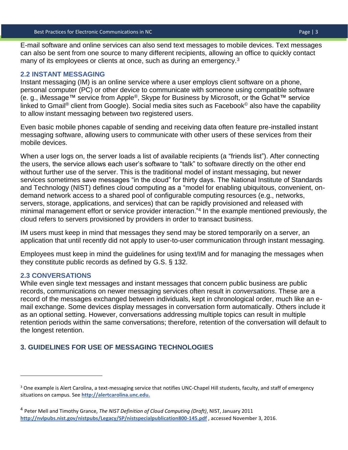E-mail software and online services can also send text messages to mobile devices. Text messages can also be sent from one source to many different recipients, allowing an office to quickly contact many of its employees or clients at once, such as during an emergency. $3$ 

#### <span id="page-3-0"></span>**2.2 INSTANT MESSAGING**

Instant messaging (IM) is an online service where a user employs client software on a phone, personal computer (PC) or other device to communicate with someone using compatible software (e. g., iMessage™ service from Apple®, Skype for Business by Microsoft, or the Gchat™ service linked to Gmail<sup>®</sup> client from Google). Social media sites such as Facebook<sup>®</sup> also have the capability to allow instant messaging between two registered users.

Even basic mobile phones capable of sending and receiving data often feature pre-installed instant messaging software, allowing users to communicate with other users of these services from their mobile devices.

When a user logs on, the server loads a list of available recipients (a "friends list"). After connecting the users, the service allows each user's software to "talk" to software directly on the other end without further use of the server. This is the traditional model of instant messaging, but newer services sometimes save messages "in the cloud" for thirty days. The National Institute of Standards and Technology (NIST) defines cloud computing as a "model for enabling ubiquitous, convenient, ondemand network access to a shared pool of configurable computing resources (e.g., networks, servers, storage, applications, and services) that can be rapidly provisioned and released with minimal management effort or service provider interaction." 4 In the example mentioned previously, the cloud refers to servers provisioned by providers in order to transact business.

IM users must keep in mind that messages they send may be stored temporarily on a server, an application that until recently did not apply to user-to-user communication through instant messaging.

Employees must keep in mind the guidelines for using text/IM and for managing the messages when they constitute public records as defined by G.S. § 132.

### <span id="page-3-1"></span>**2.3 CONVERSATIONS**

 $\overline{\phantom{a}}$ 

While even single text messages and instant messages that concern public business are public records, communications on newer messaging services often result in *conversations*. These are a record of the messages exchanged between individuals, kept in chronological order, much like an email exchange. Some devices display messages in conversation form automatically. Others include it as an optional setting. However, conversations addressing multiple topics can result in multiple retention periods within the same conversations; therefore, retention of the conversation will default to the longest retention.

### <span id="page-3-2"></span>**3. GUIDELINES FOR USE OF MESSAGING TECHNOLOGIES**

<sup>&</sup>lt;sup>3</sup> One example is Alert Carolina, a text-messaging service that notifies UNC-Chapel Hill students, faculty, and staff of emergency situations on campus. See **[http://alertcarolina.unc.edu.](http://alertcarolina.unc.edu./)**

<sup>4</sup> Peter Mell and Timothy Grance, *The NIST Definition of Cloud Computing (Draft)*, NIST, January 2011 **<http://nvlpubs.nist.gov/nistpubs/Legacy/SP/nistspecialpublication800-145.pdf>** , accessed November 3, 2016.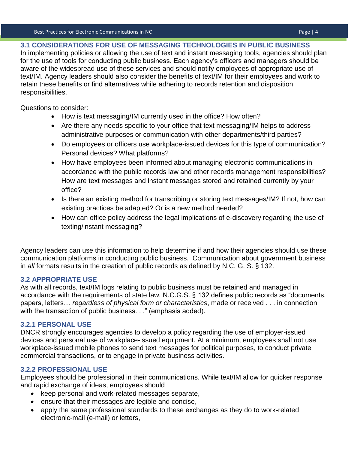<span id="page-4-0"></span>**3.1 CONSIDERATIONS FOR USE OF MESSAGING TECHNOLOGIES IN PUBLIC BUSINESS**

In implementing policies or allowing the use of text and instant messaging tools, agencies should plan for the use of tools for conducting public business. Each agency's officers and managers should be aware of the widespread use of these services and should notify employees of appropriate use of text/IM. Agency leaders should also consider the benefits of text/IM for their employees and work to retain these benefits or find alternatives while adhering to records retention and disposition responsibilities.

Questions to consider:

- How is text messaging/IM currently used in the office? How often?
- Are there any needs specific to your office that text messaging/IM helps to address administrative purposes or communication with other departments/third parties?
- Do employees or officers use workplace-issued devices for this type of communication? Personal devices? What platforms?
- How have employees been informed about managing electronic communications in accordance with the public records law and other records management responsibilities? How are text messages and instant messages stored and retained currently by your office?
- Is there an existing method for transcribing or storing text messages/IM? If not, how can existing practices be adapted? Or is a new method needed?
- How can office policy address the legal implications of e-discovery regarding the use of texting/instant messaging?

Agency leaders can use this information to help determine if and how their agencies should use these communication platforms in conducting public business. Communication about government business in *all* formats results in the creation of public records as defined by N.C. G. S. § 132.

## <span id="page-4-1"></span>**3.2 APPROPRIATE USE**

As with all records, text/IM logs relating to public business must be retained and managed in accordance with the requirements of state law. N.C.G.S. § 132 defines public records as "documents, papers, letters… *regardless of physical form or characteristics*, made or received . . . in connection with the transaction of public business. . ." (emphasis added).

# <span id="page-4-2"></span>**3.2.1 PERSONAL USE**

DNCR strongly encourages agencies to develop a policy regarding the use of employer-issued devices and personal use of workplace-issued equipment. At a minimum, employees shall not use workplace-issued mobile phones to send text messages for political purposes, to conduct private commercial transactions, or to engage in private business activities.

# <span id="page-4-3"></span>**3.2.2 PROFESSIONAL USE**

Employees should be professional in their communications. While text/IM allow for quicker response and rapid exchange of ideas, employees should

- keep personal and work-related messages separate,
- ensure that their messages are legible and concise,
- apply the same professional standards to these exchanges as they do to work-related electronic-mail (e-mail) or letters,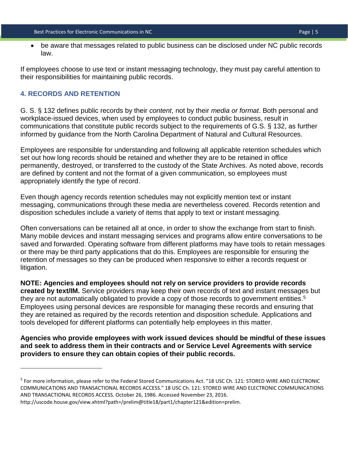be aware that messages related to public business can be disclosed under NC public records law.

If employees choose to use text or instant messaging technology, they must pay careful attention to their responsibilities for maintaining public records.

## <span id="page-5-0"></span>**4. RECORDS AND RETENTION**

 $\overline{\phantom{a}}$ 

G. S. § 132 defines public records by their *content*, not by their *media or format*. Both personal and workplace-issued devices, when used by employees to conduct public business, result in communications that constitute public records subject to the requirements of G.S. § 132, as further informed by guidance from the North Carolina Department of Natural and Cultural Resources.

Employees are responsible for understanding and following all applicable retention schedules which set out how long records should be retained and whether they are to be retained in office permanently, destroyed, or transferred to the custody of the State Archives. As noted above, records are defined by content and not the format of a given communication, so employees must appropriately identify the type of record.

Even though agency records retention schedules may not explicitly mention text or instant messaging, communications through these media are nevertheless covered. Records retention and disposition schedules include a variety of items that apply to text or instant messaging.

Often conversations can be retained all at once, in order to show the exchange from start to finish. Many mobile devices and instant messaging services and programs allow entire conversations to be saved and forwarded. Operating software from different platforms may have tools to retain messages or there may be third party applications that do this. Employees are responsible for ensuring the retention of messages so they can be produced when responsive to either a records request or litigation.

**NOTE: Agencies and employees should not rely on service providers to provide records created by text/IM.** Service providers may keep their own records of text and instant messages but they are not automatically obligated to provide a copy of those records to government entities.<sup>5</sup> Employees using personal devices are responsible for managing these records and ensuring that they are retained as required by the records retention and disposition schedule. Applications and tools developed for different platforms can potentially help employees in this matter.

**Agencies who provide employees with work issued devices should be mindful of these issues and seek to address them in their contracts and or Service Level Agreements with service providers to ensure they can obtain copies of their public records.**

<sup>&</sup>lt;sup>5</sup> For more information, please refer to the Federal Stored Communications Act. "18 USC Ch. 121: STORED WIRE AND ELECTRONIC COMMUNICATIONS AND TRANSACTIONAL RECORDS ACCESS." 18 USC Ch. 121: STORED WIRE AND ELECTRONIC COMMUNICATIONS AND TRANSACTIONAL RECORDS ACCESS. October 26, 1986. Accessed November 23, 2016.

http://uscode.house.gov/view.xhtml?path=/prelim@title18/part1/chapter121&edition=prelim.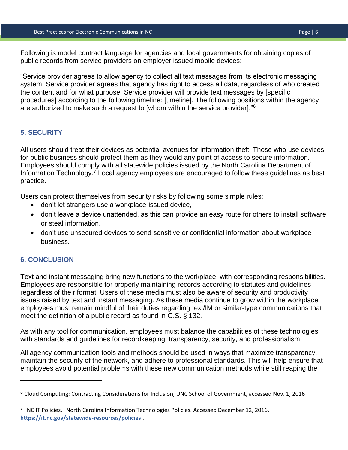Following is model contract language for agencies and local governments for obtaining copies of public records from service providers on employer issued mobile devices:

"Service provider agrees to allow agency to collect all text messages from its electronic messaging system. Service provider agrees that agency has right to access all data, regardless of who created the content and for what purpose. Service provider will provide text messages by [specific procedures] according to the following timeline: [timeline]. The following positions within the agency are authorized to make such a request to [whom within the service provider]."<sup>6</sup>

# <span id="page-6-0"></span>**5. SECURITY**

All users should treat their devices as potential avenues for information theft. Those who use devices for public business should protect them as they would any point of access to secure information. Employees should comply with all statewide policies issued by the North Carolina Department of Information Technology.<sup>7</sup> Local agency employees are encouraged to follow these guidelines as best practice.

Users can protect themselves from security risks by following some simple rules:

- don't let strangers use a workplace-issued device,
- don't leave a device unattended, as this can provide an easy route for others to install software or steal information,
- don't use unsecured devices to send sensitive or confidential information about workplace business.

## <span id="page-6-1"></span>**6. CONCLUSION**

l

Text and instant messaging bring new functions to the workplace, with corresponding responsibilities. Employees are responsible for properly maintaining records according to statutes and guidelines regardless of their format. Users of these media must also be aware of security and productivity issues raised by text and instant messaging. As these media continue to grow within the workplace, employees must remain mindful of their duties regarding text/IM or similar-type communications that meet the definition of a public record as found in G.S. § 132.

As with any tool for communication, employees must balance the capabilities of these technologies with standards and guidelines for recordkeeping, transparency, security, and professionalism.

All agency communication tools and methods should be used in ways that maximize transparency, maintain the security of the network, and adhere to professional standards. This will help ensure that employees avoid potential problems with these new communication methods while still reaping the

<sup>6</sup> Cloud Computing: Contracting Considerations for Inclusion, UNC School of Government, accessed Nov. 1, 2016

<sup>&</sup>lt;sup>7</sup> "NC IT Policies." North Carolina Information Technologies Policies. Accessed December 12, 2016. **<https://it.nc.gov/statewide-resources/policies>** .